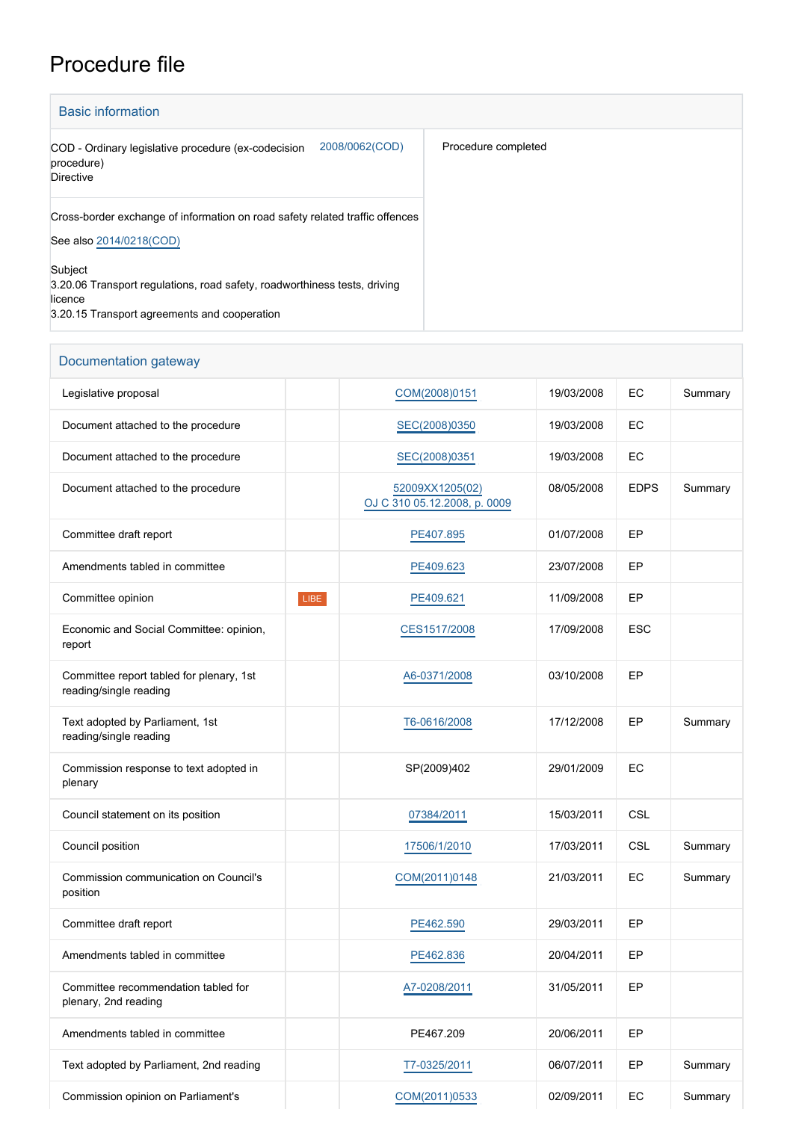## Procedure file

| <b>Basic information</b>                                                                                                                        |                     |
|-------------------------------------------------------------------------------------------------------------------------------------------------|---------------------|
| 2008/0062(COD)<br>COD - Ordinary legislative procedure (ex-codecision<br>procedure)<br><b>Directive</b>                                         | Procedure completed |
| Cross-border exchange of information on road safety related traffic offences<br>See also 2014/0218(COD)                                         |                     |
| Subject<br>3.20.06 Transport regulations, road safety, roadworthiness tests, driving<br>licence<br>3.20.15 Transport agreements and cooperation |                     |

## Documentation gateway

| Legislative proposal                                               |      | COM(2008)0151                                   | 19/03/2008 | EC          | Summary |
|--------------------------------------------------------------------|------|-------------------------------------------------|------------|-------------|---------|
| Document attached to the procedure                                 |      | SEC(2008)0350                                   | 19/03/2008 | EC          |         |
| Document attached to the procedure                                 |      | SEC(2008)0351                                   | 19/03/2008 | EC          |         |
| Document attached to the procedure                                 |      | 52009XX1205(02)<br>OJ C 310 05.12.2008, p. 0009 | 08/05/2008 | <b>EDPS</b> | Summary |
| Committee draft report                                             |      | PE407.895                                       | 01/07/2008 | EP          |         |
| Amendments tabled in committee                                     |      | PE409.623                                       | 23/07/2008 | EP          |         |
| Committee opinion                                                  | LIBE | PE409.621                                       | 11/09/2008 | EP          |         |
| Economic and Social Committee: opinion,<br>report                  |      | CES1517/2008                                    | 17/09/2008 | <b>ESC</b>  |         |
| Committee report tabled for plenary, 1st<br>reading/single reading |      | A6-0371/2008                                    | 03/10/2008 | EP          |         |
| Text adopted by Parliament, 1st<br>reading/single reading          |      | T6-0616/2008                                    | 17/12/2008 | EP          | Summary |
| Commission response to text adopted in<br>plenary                  |      | SP(2009)402                                     | 29/01/2009 | EC          |         |
| Council statement on its position                                  |      | 07384/2011                                      | 15/03/2011 | CSL         |         |
| Council position                                                   |      | 17506/1/2010                                    | 17/03/2011 | CSL         | Summary |
| Commission communication on Council's<br>position                  |      | COM(2011)0148                                   | 21/03/2011 | EC          | Summary |
| Committee draft report                                             |      | PE462.590                                       | 29/03/2011 | EP          |         |
| Amendments tabled in committee                                     |      | PE462.836                                       | 20/04/2011 | EP          |         |
| Committee recommendation tabled for<br>plenary, 2nd reading        |      | A7-0208/2011                                    | 31/05/2011 | EP          |         |
| Amendments tabled in committee                                     |      | PE467.209                                       | 20/06/2011 | EP          |         |
| Text adopted by Parliament, 2nd reading                            |      | T7-0325/2011                                    | 06/07/2011 | EP          | Summary |
| Commission opinion on Parliament's                                 |      | COM(2011)0533                                   | 02/09/2011 | EC          | Summary |